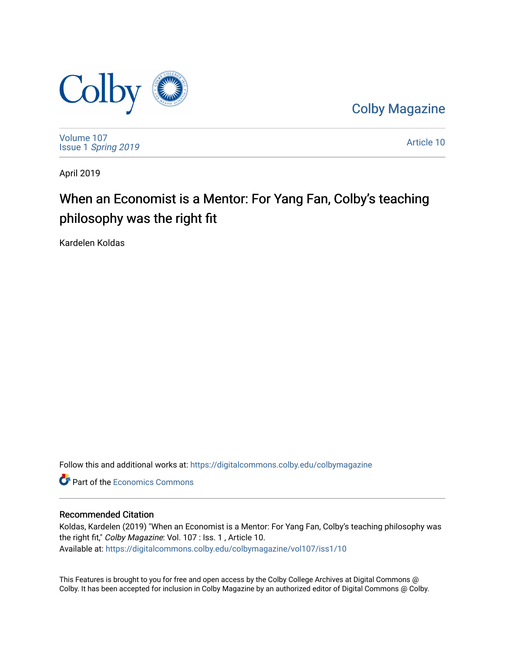

[Colby Magazine](https://digitalcommons.colby.edu/colbymagazine) 

[Volume 107](https://digitalcommons.colby.edu/colbymagazine/vol107) Issue 1 [Spring 2019](https://digitalcommons.colby.edu/colbymagazine/vol107/iss1) 

[Article 10](https://digitalcommons.colby.edu/colbymagazine/vol107/iss1/10) 

April 2019

### When an Economist is a Mentor: For Yang Fan, Colby's teaching philosophy was the right fit

Kardelen Koldas

Follow this and additional works at: [https://digitalcommons.colby.edu/colbymagazine](https://digitalcommons.colby.edu/colbymagazine?utm_source=digitalcommons.colby.edu%2Fcolbymagazine%2Fvol107%2Fiss1%2F10&utm_medium=PDF&utm_campaign=PDFCoverPages)

**C** Part of the [Economics Commons](http://network.bepress.com/hgg/discipline/340?utm_source=digitalcommons.colby.edu%2Fcolbymagazine%2Fvol107%2Fiss1%2F10&utm_medium=PDF&utm_campaign=PDFCoverPages)

#### Recommended Citation

Koldas, Kardelen (2019) "When an Economist is a Mentor: For Yang Fan, Colby's teaching philosophy was the right fit," Colby Magazine: Vol. 107 : Iss. 1, Article 10. Available at: [https://digitalcommons.colby.edu/colbymagazine/vol107/iss1/10](https://digitalcommons.colby.edu/colbymagazine/vol107/iss1/10?utm_source=digitalcommons.colby.edu%2Fcolbymagazine%2Fvol107%2Fiss1%2F10&utm_medium=PDF&utm_campaign=PDFCoverPages)

This Features is brought to you for free and open access by the Colby College Archives at Digital Commons @ Colby. It has been accepted for inclusion in Colby Magazine by an authorized editor of Digital Commons @ Colby.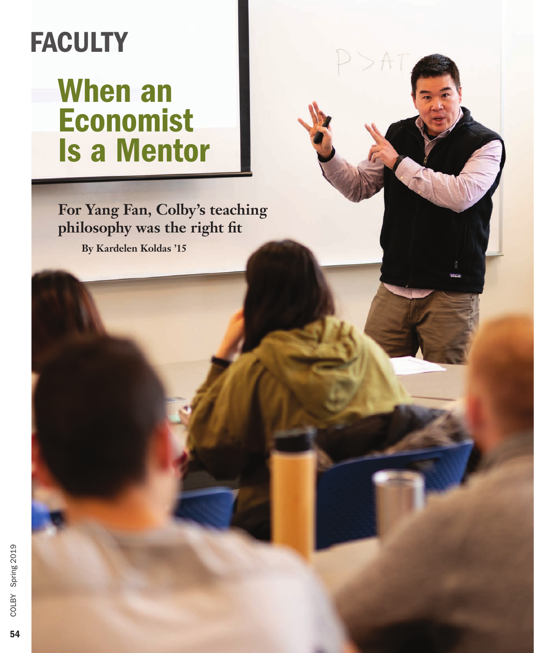# **FACULTY**

## When an Economist Is a Mentor

**For Yang Fan, Colby's teaching philosophy was the right fit** 

**By Kardelen Koldas '15**